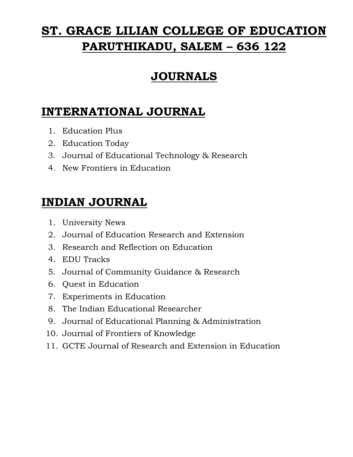# **ST. GRACE LILIAN COLLEGE OF EDUCATION PARUTHIKADU, SALEM – 636 122**

## **JOURNALS**

## **INTERNATIONAL JOURNAL**

- 1. Education Plus
- 2. Education Today
- 3. Journal of Educational Technology & Research
- 4. New Frontiers in Education

## **INDIAN JOURNAL**

- 1. University News
- 2. Journal of Education Research and Extension
- 3. Research and Reflection on Education
- 4. EDU Tracks
- 5. Journal of Community Guidance & Research
- 6. Quest in Education
- 7. Experiments in Education
- 8. The Indian Educational Researcher
- 9. Journal of Educational Planning & Administration
- 10. Journal of Frontiers of Knowledge
- 11. GCTE Journal of Research and Extension in Education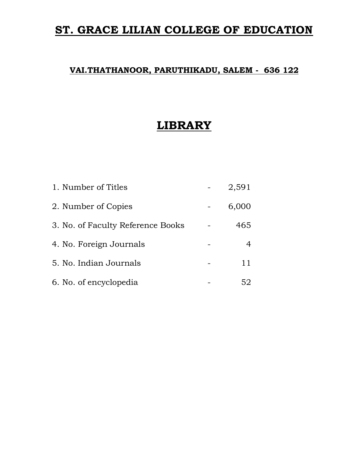#### **ST. GRACE LILIAN COLLEGE OF EDUCATION**

#### **VAI.THATHANOOR, PARUTHIKADU, SALEM - 636 122**

#### **LIBRARY**

| 1. Number of Titles               | 2,591 |
|-----------------------------------|-------|
| 2. Number of Copies               | 6,000 |
| 3. No. of Faculty Reference Books | 465   |
| 4. No. Foreign Journals           | 4     |
| 5. No. Indian Journals            |       |
| 6. No. of encyclopedia            | 52    |